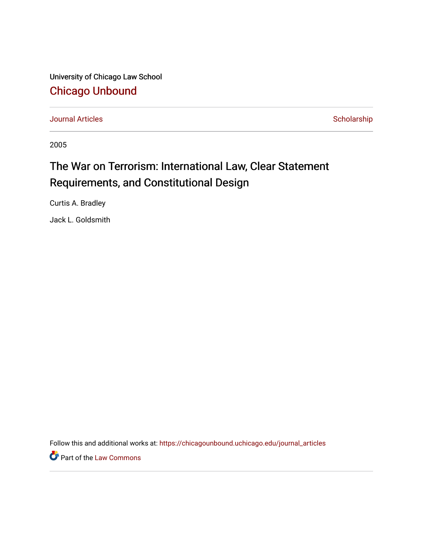University of Chicago Law School [Chicago Unbound](https://chicagounbound.uchicago.edu/)

[Journal Articles](https://chicagounbound.uchicago.edu/journal_articles) **Scholarship** Scholarship

2005

# The War on Terrorism: International Law, Clear Statement Requirements, and Constitutional Design

Curtis A. Bradley

Jack L. Goldsmith

Follow this and additional works at: [https://chicagounbound.uchicago.edu/journal\\_articles](https://chicagounbound.uchicago.edu/journal_articles?utm_source=chicagounbound.uchicago.edu%2Fjournal_articles%2F10186&utm_medium=PDF&utm_campaign=PDFCoverPages) 

**P** Part of the [Law Commons](http://network.bepress.com/hgg/discipline/578?utm_source=chicagounbound.uchicago.edu%2Fjournal_articles%2F10186&utm_medium=PDF&utm_campaign=PDFCoverPages)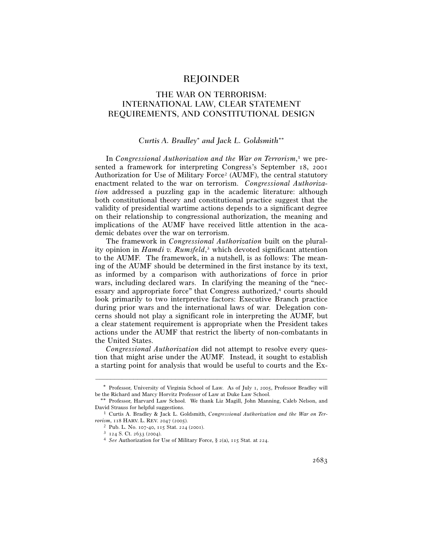# REJOINDER

# THE WAR ON TERRORISM: INTERNATIONAL LAW, CLEAR STATEMENT REQUIREMENTS, AND CONSTITUTIONAL DESIGN

# Curtis A. Bradley<sup>\*</sup> and Jack L. Goldsmith<sup>\*\*</sup>

In *[Congressional Authorization and the War on Terrori](#page-1-1)sm*,<sup>[1](#page-1-2)</sup> we presented a framework for interpreting Congress's September 18, 2001 Authorization for Use of Military Force<sup>[2](#page-1-3)</sup> (AUMF), the central statutory enactment related to the war on terrorism. *Congressional Authorization* addressed a puzzling gap in the academic literature: although both constitutional theory and constitutional practice suggest that the validity of presidential wartime actions depends to a significant degree on their relationship to congressional authorization, the meaning and implications of the AUMF have received little attention in the academic debates over the war on terrorism.

The framework in *Congressional Authorization* built on the plurality opinion in *Hamdi v. Rumsfeld*,<sup>[3](#page-1-4)</sup> which devoted significant attention to the AUMF. The framework, in a nutshell, is as follows: The meaning of the AUMF should be determined in the first instance by its text, as informed by a comparison with authorizations of force in prior wars, including declared wars. In clarifying the meaning of the "nec-essary and appropriate force" that Congress authorized,<sup>[4](#page-1-5)</sup> courts should look primarily to two interpretive factors: Executive Branch practice during prior wars and the international laws of war. Delegation concerns should not play a significant role in interpreting the AUMF, but a clear statement requirement is appropriate when the President takes actions under the AUMF that restrict the liberty of non-combatants in the United States.

*Congressional Authorization* did not attempt to resolve every question that might arise under the AUMF. Instead, it sought to establish a starting point for analysis that would be useful to courts and the Ex-

<span id="page-1-0"></span><sup>–––––––––––––––––––––––––––––––––––––––––––––––––––––––––––––</sup> ∗ <sup>T</sup>Professor, University of Virginia School of Law. As of July 1, 2005, Professor Bradley will be the Richard and Marcy Horvitz Professor of Law at Duke Law School.

<span id="page-1-1"></span><sup>∗∗</sup> <sup>T</sup>Professor, Harvard Law School. We thank Liz Magill, John Manning, Caleb Nelson, and David Strauss for helpful suggestions.

<span id="page-1-2"></span><sup>&</sup>lt;sup>1</sup> Curtis A. Bradley & Jack L. Goldsmith, *Congressional Authorization and the War on Terrorism*, 118 HARV. L. REV. 2047 (2005).

<span id="page-1-3"></span><sup>2</sup> <sup>T</sup>Pub. L. No. 107-40, 115 Stat. 224 (2001).

<span id="page-1-4"></span><sup>3</sup> <sup>T</sup>124 S. Ct. 2633 (2004).

<span id="page-1-5"></span><sup>4</sup> T*See* Authorization for Use of Military Force, § 2(a), 115 Stat. at 224.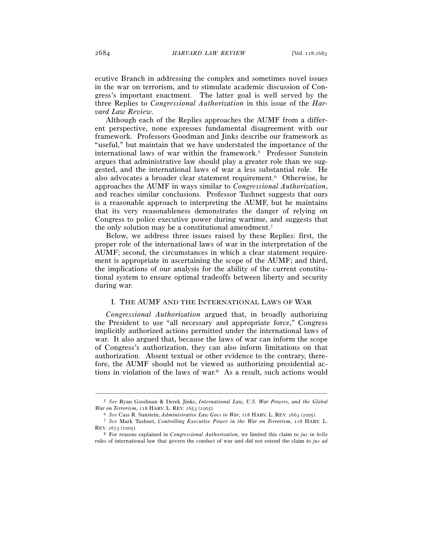ecutive Branch in addressing the complex and sometimes novel issues in the war on terrorism, and to stimulate academic discussion of Congress's important enactment. The latter goal is well served by the three Replies to *Congressional Authorization* in this issue of the *Harvard Law Review*.

Although each of the Replies approaches the AUMF from a different perspective, none expresses fundamental disagreement with our framework. Professors Goodman and Jinks describe our framework as "useful," but maintain that we have understated the importance of the international laws of war within the framework.<sup>5</sup> Professor Sunstein argues that administrative law should play a greater role than we suggested, and the international laws of war a less substantial role. He also advocates a broader clear statement requirement.[6](#page-2-1) Otherwise, he approaches the AUMF in ways similar to *Congressional Authorization*, and reaches similar conclusions. Professor Tushnet suggests that ours is a reasonable approach to interpreting the AUMF, but he maintains that its very reasonableness demonstrates the danger of relying on Congress to police executive power during wartime, and suggests that the only solution may be a constitutional amendment.<sup>[7](#page-2-2)</sup>

Below, we address three issues raised by these Replies: first, the proper role of the international laws of war in the interpretation of the AUMF; second, the circumstances in which a clear statement requirement is appropriate in ascertaining the scope of the AUMF; and third, the implications of our analysis for the ability of the current constitutional system to ensure optimal tradeoffs between liberty and security during war.

#### I. THE AUMF AND THE INTERNATIONAL LAWS OF WAR

*Congressional Authorization* argued that, in broadly authorizing the President to use "all necessary and appropriate force," Congress implicitly authorized actions permitted under the international laws of war. It also argued that, because the laws of war can inform the scope of Congress's authorization, they can also inform limitations on that authorization. Absent textual or other evidence to the contrary, therefore, the AUMF should not be viewed as authorizing presidential actions in violation of the laws of war.[8](#page-2-3) As a result, such actions would

<span id="page-2-0"></span><sup>–––––––––––––––––––––––––––––––––––––––––––––––––––––––––––––</sup> 5 *See* Ryan Goodman & Derek Jinks, *International Law, U.S. War Powers, and the Global* 

<span id="page-2-2"></span><span id="page-2-1"></span>

<sup>&</sup>lt;sup>6</sup> See Cass R. Sunstein, *Administrative Law Goes to War*, 118 HARV. L. REV. 2663 (2005).<br><sup>7</sup> See Mark Tushnet, *Controlling Executive Power in the War on Terrorism*, 118 HARV. L. REV. 2673 (2005).

<span id="page-2-3"></span>REV. 2673 (2005). 8 For reasons explained in *Congressional Authorization*, we limited this claim to *jus in bello* rules of international law that govern the conduct of war and did not extend the claim to *jus ad*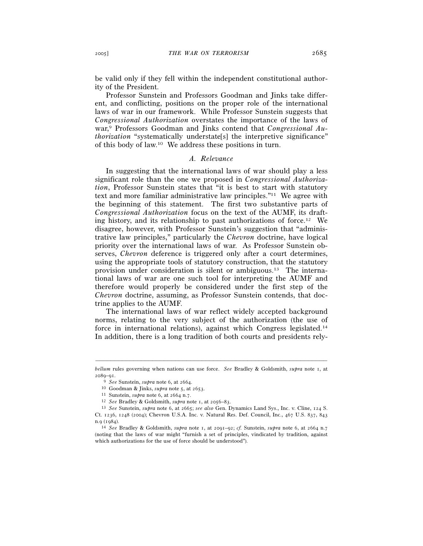be valid only if they fell within the independent constitutional authority of the President.

Professor Sunstein and Professors Goodman and Jinks take different, and conflicting, positions on the proper role of the international laws of war in our framework. While Professor Sunstein suggests that *Congressional Authorization* overstates the importance of the laws of war,[9](#page-3-0) Professors Goodman and Jinks contend that *Congressional Authorization* "systematically understate[s] the interpretive significance" of this body of law[.10](#page-3-1) We address these positions in turn.

## *A. Relevance*

In suggesting that the international laws of war should play a less significant role than the one we proposed in *Congressional Authorization*, Professor Sunstein states that "it is best to start with statutory text and more familiar administrative law principles."[11](#page-3-2) We agree with the beginning of this statement. The first two substantive parts of *Congressional Authorization* focus on the text of the AUMF, its drafting history, and its relationship to past authorizations of force.<sup>12</sup> We disagree, however, with Professor Sunstein's suggestion that "administrative law principles," particularly the *Chevron* doctrine, have logical priority over the international laws of war. As Professor Sunstein observes, *Chevron* deference is triggered only after a court determines, using the appropriate tools of statutory construction, that the statutory provision under consideration is silent or ambiguous[.13](#page-3-4) The international laws of war are one such tool for interpreting the AUMF and therefore would properly be considered under the first step of the *Chevron* doctrine, assuming, as Professor Sunstein contends, that doctrine applies to the AUMF.

The international laws of war reflect widely accepted background norms, relating to the very subject of the authorization (the use of force in international relations), against which Congress legislated[.14](#page-3-5)  In addition, there is a long tradition of both courts and presidents rely-

<sup>–––––––––––––––––––––––––––––––––––––––––––––––––––––––––––––</sup> *bellum* rules governing when nations can use force. *See* Bradley & Goldsmith, *supra* note 1, at

<span id="page-3-0"></span>

<span id="page-3-1"></span>

<span id="page-3-2"></span>

<span id="page-3-4"></span><span id="page-3-3"></span>

<sup>2089–91.&</sup>lt;br>
9 See Sunstein, *supra* note 6, at 2664.<br>
<sup>10</sup> Goodman & Jinks, *supra* note 5, at 2653.<br>
<sup>11</sup> Sunstein, *supra* note 6, at 2664 n.7.<br>
<sup>12</sup> See Bradley & Goldsmith, *supra* note 1, at 2056–83.<br>
<sup>13</sup> See Sunstein Ct. 1236, 1248 (2004); Chevron U.S.A. Inc. v. Natural Res. Def. Council, Inc., 467 U.S. 837, 843

<span id="page-3-5"></span>n.9 (1984). 14 *See* Bradley & Goldsmith, *supra* note 1, at 2091–92; *cf.* Sunstein, *supra* note 6, at 2664 n.<sup>7</sup> (noting that the laws of war might "furnish a set of principles, vindicated by tradition, against which authorizations for the use of force should be understood").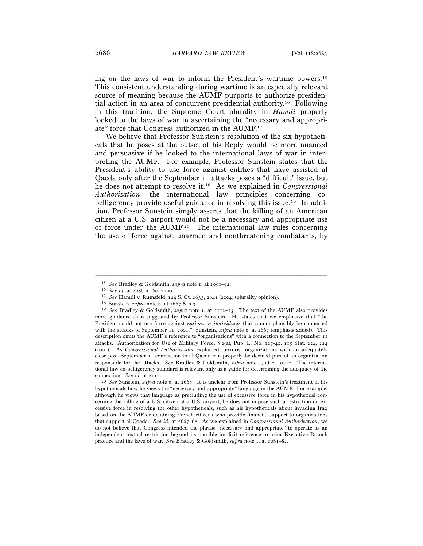ing on the laws of war to inform the President's wartime powers[.15](#page-4-0)  This consistent understanding during wartime is an especially relevant source of meaning because the AUMF purports to authorize presidential action in an area of concurrent presidential authority.[16](#page-4-1) Following in this tradition, the Supreme Court plurality in *Hamdi* properly looked to the laws of war in ascertaining the "necessary and appropriate" force that Congress authorized in the AUMF[.17](#page-4-2)

We believe that Professor Sunstein's resolution of the six hypotheticals that he poses at the outset of his Reply would be more nuanced and persuasive if he looked to the international laws of war in interpreting the AUMF. For example, Professor Sunstein states that the President's ability to use force against entities that have assisted al Qaeda only after the September 11 attacks poses a "difficult" issue, but he does not attempt to resolve it.[18](#page-4-3) As we explained in *Congressional Authorization*, the international law principles concerning cobelligerency provide useful guidance in resolving this issue.<sup>19</sup> In addition, Professor Sunstein simply asserts that the killing of an American citizen at a U.S. airport would not be a necessary and appropriate use of force under the AUMF[.20](#page-4-5) The international law rules concerning the use of force against unarmed and nonthreatening combatants, by

–––––––––––––––––––––––––––––––––––––––––––––––––––––––––––––

<span id="page-4-5"></span>20 *See* Sunstein, *supra* note 6, at 2668. It is unclear from Professor Sunstein's treatment of his hypotheticals how he views the "necessary and appropriate" language in the AUMF. For example, although he views that language as precluding the use of excessive force in his hypothetical concerning the killing of a U.S. citizen at a U.S. airport, he does not impose such a restriction on excessive force in resolving the other hypotheticals, such as his hypotheticals about invading Iraq based on the AUMF or detaining French citizens who provide financial support to organizations that support al Qaeda. *See id.* at 2667–68. As we explained in *Congressional Authorization*, we do not believe that Congress intended the phrase "necessary and appropriate" to operate as an independent textual restriction beyond its possible implicit reference to prior Executive Branch practice and the laws of war. *See* Bradley & Goldsmith, *supra* note 1, at 2081–82.

<span id="page-4-0"></span>

<span id="page-4-1"></span>

<span id="page-4-2"></span>

<span id="page-4-4"></span><span id="page-4-3"></span>

<sup>&</sup>lt;sup>15</sup> See Bradley & Goldsmith, *supra* note 1, at 2091–92.<br>
<sup>16</sup> See id. at 2086 n.160, 2100.<br>
<sup>17</sup> See Hamdi v. Rumsfeld, 124 S. Ct. 2633, 2641 (2004) (plurality opinion).<br>
<sup>18</sup> Sunstein, *supra* note 6, at 2667 & n.31.<br> more guidance than suggested by Professor Sunstein. He states that we emphasize that "the President could not use force against *nations or individuals* that cannot plausibly be connected with the attacks of September 11, 2001." Sunstein, *supra* note 6, at 2667 (emphasis added). This description omits the AUMF's reference to "organizations" with a connection to the September 11 attacks. Authorization for Use of Military Force, § 2(a), Pub. L. No. 107-40, 115 Stat. 224, 224 (2001). As *Congressional Authorization* explained, terrorist organizations with an adequately close post–September 11 connection to al Qaeda can properly be deemed part of an organization responsible for the attacks. *See* Bradley & Goldsmith, *supra* note 1, at 2110–12. The international law co-belligerency standard is relevant only as a guide for determining the adequacy of the connection. *See id.* at 2112.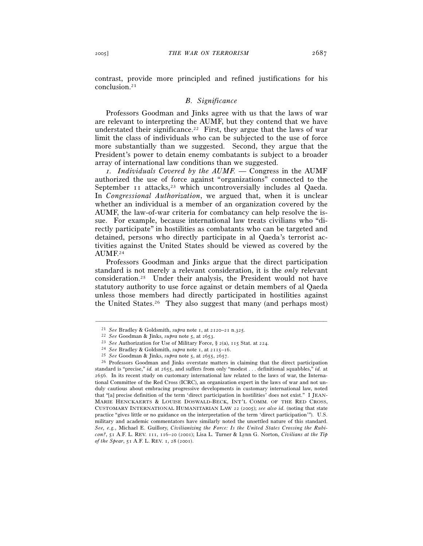contrast, provide more principled and refined justifications for his conclusion.[21](#page-5-0)

#### *B. Significance*

Professors Goodman and Jinks agree with us that the laws of war are relevant to interpreting the AUMF, but they contend that we have understated their significance.<sup>22</sup> First, they argue that the laws of war limit the class of individuals who can be subjected to the use of force more substantially than we suggested. Second, they argue that the President's power to detain enemy combatants is subject to a broader array of international law conditions than we suggested.

*1. Individuals Covered by the AUMF.* — Congress in the AUMF authorized the use of force against "organizations" connected to the September 11 attacks,<sup>23</sup> which uncontroversially includes al Oaeda. In *Congressional Authorization*, we argued that, when it is unclear whether an individual is a member of an organization covered by the AUMF, the law-of-war criteria for combatancy can help resolve the issue. For example, because international law treats civilians who "directly participate" in hostilities as combatants who can be targeted and detained, persons who directly participate in al Qaeda's terrorist activities against the United States should be viewed as covered by the AUMF[.24](#page-5-3)

Professors Goodman and Jinks argue that the direct participation standard is not merely a relevant consideration, it is the *only* relevant consideration[.25](#page-5-4) Under their analysis, the President would not have statutory authority to use force against or detain members of al Qaeda unless those members had directly participated in hostilities against the United States.[26](#page-5-5) They also suggest that many (and perhaps most)

<span id="page-5-0"></span>

<span id="page-5-1"></span>

<span id="page-5-2"></span>

<span id="page-5-3"></span>

<span id="page-5-5"></span><span id="page-5-4"></span>

<sup>&</sup>lt;sup>21</sup> See Bradley & Goldsmith, *supra* note 1, at 2120–21 n.325.<br>
<sup>22</sup> See Goodman & Jinks, *supra* note 5, at 2653.<br>
<sup>23</sup> See Authorization for Use of Military Force, § 2(a), 115 Stat. at 224.<br>
<sup>24</sup> See Bradley & Goldsmit standard is "precise," *id.* at 2655, and suffers from only "modest . . . definitional squabbles," *id.* at 2656. In its recent study on customary international law related to the laws of war, the International Committee of the Red Cross (ICRC), an organization expert in the laws of war and not unduly cautious about embracing progressive developments in customary international law, noted that "[a] precise definition of the term 'direct participation in hostilities' does not exist." I JEAN-MARIE HENCKAERTS & LOUISE DOSWALD-BECK, INT'L COMM. OF THE RED CROSS, CUSTOMARY INTERNATIONAL HUMANITARIAN LAW 22 (2005); *see also id.* (noting that state practice "gives little or no guidance on the interpretation of the term 'direct participation'"). U.S. military and academic commentators have similarly noted the unsettled nature of this standard. *See, e.g.*, Michael E. Guillory, *Civilianizing the Force: Is the United States Crossing the Rubicon?*, 51 A.F. L. REV. 111, 116–20 (2001); Lisa L. Turner & Lynn G. Norton, *Civilians at the Tip of the Spear*, 51 A.F. L. REV. 1, 28 (2001).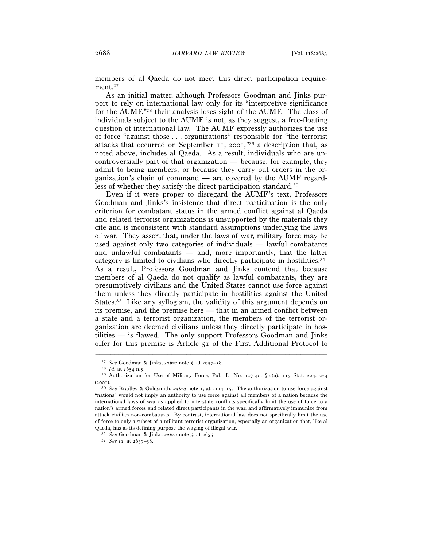members of al Qaeda do not meet this direct participation requirement.<sup>27</sup>

As an initial matter, although Professors Goodman and Jinks purport to rely on international law only for its "interpretive significance for the AUMF,["28](#page-6-1) their analysis loses sight of the AUMF. The class of individuals subject to the AUMF is not, as they suggest, a free-floating question of international law. The AUMF expressly authorizes the use of force "against those . . . organizations" responsible for "the terrorist attacks that occurred on September 11, 2001,["29](#page-6-2) a description that, as noted above, includes al Qaeda. As a result, individuals who are uncontroversially part of that organization — because, for example, they admit to being members, or because they carry out orders in the organization's chain of command — are covered by the AUMF regardless of whether they satisfy the direct participation standard[.30](#page-6-3)

Even if it were proper to disregard the AUMF's text, Professors Goodman and Jinks's insistence that direct participation is the only criterion for combatant status in the armed conflict against al Qaeda and related terrorist organizations is unsupported by the materials they cite and is inconsistent with standard assumptions underlying the laws of war. They assert that, under the laws of war, military force may be used against only two categories of individuals — lawful combatants and unlawful combatants — and, more importantly, that the latter category is limited to civilians who directly participate in hostilities[.31](#page-6-4)  As a result, Professors Goodman and Jinks contend that because members of al Qaeda do not qualify as lawful combatants, they are presumptively civilians and the United States cannot use force against them unless they directly participate in hostilities against the United States[.32](#page-6-5) Like any syllogism, the validity of this argument depends on its premise, and the premise here — that in an armed conflict between a state and a terrorist organization, the members of the terrorist organization are deemed civilians unless they directly participate in hostilities — is flawed. The only support Professors Goodman and Jinks offer for this premise is Article 51 of the First Additional Protocol to

<span id="page-6-0"></span>

<span id="page-6-2"></span><span id="page-6-1"></span>

<sup>27</sup> *See* Goodman & Jinks, *supra* note 5, at 2657–58. 28 *Id.* at 2654 n.5. 29 Authorization for Use of Military Force, Pub. L. No. 107-40, § 2(a), 115 Stat. 224, <sup>224</sup> (2001). 30 *See* Bradley & Goldsmith, *supra* note 1, at 2114–15. The authorization to use force against

<span id="page-6-3"></span><sup>&</sup>quot;nations" would not imply an authority to use force against all members of a nation because the international laws of war as applied to interstate conflicts specifically limit the use of force to a nation's armed forces and related direct participants in the war, and affirmatively immunize from attack civilian non-combatants. By contrast, international law does not specifically limit the use of force to only a subset of a militant terrorist organization, especially an organization that, like al

<span id="page-6-4"></span><sup>&</sup>lt;sup>31</sup> *See* Goodman & Jinks, *supra* note 5, at 2655.<br><sup>32</sup> *See id.* at 2657–58.

<span id="page-6-5"></span>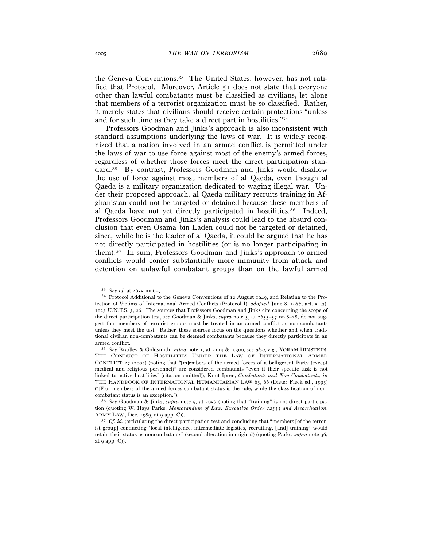the Geneva Conventions.<sup>33</sup> The United States, however, has not ratified that Protocol. Moreover, Article 51 does not state that everyone other than lawful combatants must be classified as civilians, let alone that members of a terrorist organization must be so classified. Rather, it merely states that civilians should receive certain protections "unless and for such time as they take a direct part in hostilities."[34](#page-7-1)

Professors Goodman and Jinks's approach is also inconsistent with standard assumptions underlying the laws of war. It is widely recognized that a nation involved in an armed conflict is permitted under the laws of war to use force against most of the enemy's armed forces, regardless of whether those forces meet the direct participation standard[.35](#page-7-2) By contrast, Professors Goodman and Jinks would disallow the use of force against most members of al Qaeda, even though al Qaeda is a military organization dedicated to waging illegal war. Under their proposed approach, al Qaeda military recruits training in Afghanistan could not be targeted or detained because these members of al Qaeda have not yet directly participated in hostilities.<sup>36</sup> Indeed, Professors Goodman and Jinks's analysis could lead to the absurd conclusion that even Osama bin Laden could not be targeted or detained, since, while he is the leader of al Qaeda, it could be argued that he has not directly participated in hostilities (or is no longer participating in them).[37](#page-7-4) In sum, Professors Goodman and Jinks's approach to armed conflicts would confer substantially more immunity from attack and detention on unlawful combatant groups than on the lawful armed

<span id="page-7-1"></span><span id="page-7-0"></span>

<sup>33</sup> *See id.* at 2655 nn.6–7. 34 Protocol Additional to the Geneva Conventions of 12 August 1949, and Relating to the Protection of Victims of International Armed Conflicts (Protocol I), *adopted* June 8, 1977, art. 51(3), 1125 U.N.T.S. 3, 26. The sources that Professors Goodman and Jinks cite concerning the scope of the direct participation test, *see* Goodman & Jinks, *supra* note 5, at 2655–57 nn.8–28, do not suggest that members of terrorist groups must be treated in an armed conflict as non-combatants unless they meet the test. Rather, these sources focus on the questions whether and when traditional civilian non-combatants can be deemed combatants because they directly participate in an armed conflict. 35 *See* Bradley & Goldsmith, *supra* note 1, at 2114 & n.300; *see also, e.g.*, YORAM DINSTEIN,

<span id="page-7-2"></span>THE CONDUCT OF HOSTILITIES UNDER THE LAW OF INTERNATIONAL ARMED CONFLICT 27 (2004) (noting that "[m]embers of the armed forces of a belligerent Party (except medical and religious personnel)" are considered combatants "even if their specific task is not linked to active hostilities" (citation omitted)); Knut Ipsen, *Combatants and Non-Combatants*, *in* THE HANDBOOK OF INTERNATIONAL HUMANITARIAN LAW 65, 66 (Dieter Fleck ed., 1995) ("[F]or members of the armed forces combatant status is the rule, while the classification of noncombatant status is an exception."). 36 *See* Goodman & Jinks, *supra* note 5, at 2657 (noting that "training" is not direct participa-

<span id="page-7-3"></span>tion (quoting W. Hays Parks, *Memorandum of Law: Executive Order 12333 and Assassination*, ARMY LAW., Dec. 1989, at 9 app. C)).<br><sup>37</sup> *Cf. id.* (articulating the direct participation test and concluding that "members [of the terror-

<span id="page-7-4"></span>ist group] conducting 'local intelligence, intermediate logistics, recruiting, [and] training' would retain their status as noncombatants" (second alteration in original) (quoting Parks, *supra* note 36, at  $\varphi$  app. C).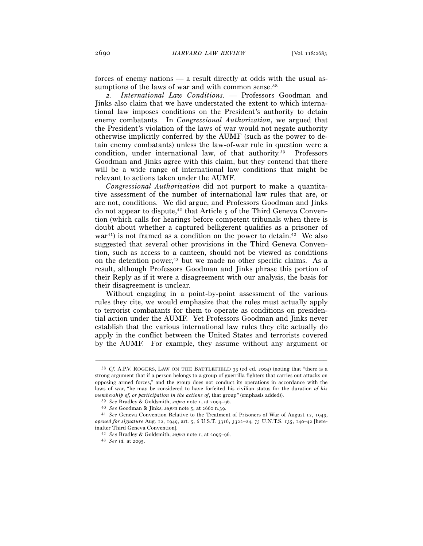forces of enemy nations — a result directly at odds with the usual assumptions of the laws of war and with common sense.<sup>38</sup>

*2. International Law Conditions.* — Professors Goodman and Jinks also claim that we have understated the extent to which international law imposes conditions on the President's authority to detain enemy combatants. In *Congressional Authorization*, we argued that the President's violation of the laws of war would not negate authority otherwise implicitly conferred by the AUMF (such as the power to detain enemy combatants) unless the law-of-war rule in question were a condition, under international law, of that authority[.39](#page-8-1) Professors Goodman and Jinks agree with this claim, but they contend that there will be a wide range of international law conditions that might be relevant to actions taken under the AUMF.

*Congressional Authorization* did not purport to make a quantitative assessment of the number of international law rules that are, or are not, conditions. We did argue, and Professors Goodman and Jinks do not appear to dispute[,40](#page-8-2) that Article 5 of the Third Geneva Convention (which calls for hearings before competent tribunals when there is doubt about whether a captured belligerent qualifies as a prisoner of war<sup>41</sup>) is not framed as a condition on the power to detain.<sup>42</sup> We also suggested that several other provisions in the Third Geneva Convention, such as access to a canteen, should not be viewed as conditions on the detention power,<sup>43</sup> but we made no other specific claims. As a result, although Professors Goodman and Jinks phrase this portion of their Reply as if it were a disagreement with our analysis, the basis for their disagreement is unclear.

Without engaging in a point-by-point assessment of the various rules they cite, we would emphasize that the rules must actually apply to terrorist combatants for them to operate as conditions on presidential action under the AUMF. Yet Professors Goodman and Jinks never establish that the various international law rules they cite actually do apply in the conflict between the United States and terrorists covered by the AUMF. For example, they assume without any argument or

<span id="page-8-0"></span><sup>38</sup> *Cf.* A.P.V. ROGERS, LAW ON THE BATTLEFIELD 33 (2d ed. 2004) (noting that "there is a strong argument that if a person belongs to a group of guerrilla fighters that carries out attacks on opposing armed forces," and the group does not conduct its operations in accordance with the laws of war, "he may be considered to have forfeited his civilian status for the duration *of his membership of, or participation in the actions of,* that group" (emphasis added)).

<span id="page-8-1"></span>

<span id="page-8-3"></span><span id="page-8-2"></span>

<sup>&</sup>lt;sup>39</sup> See Bradley & Goldsmith, *supra* note 1, at 2094–96.<br><sup>40</sup> See Goodman & Jinks, *supra* note 5, at 2660 n.39.<br><sup>41</sup> See Geneva Convention Relative to the Treatment of Prisoners of War of August 12, 1949, *opened for signature* Aug. 12, 1949, art. 5, 6 U.S.T. 3316, 3322–24, 75 U.N.T.S. 135, 140–42 [here-

<span id="page-8-4"></span>inafter Third Geneva Convention]. 42 *See* Bradley & Goldsmith, *supra* note 1, at 2095–96. 43 *See id.* at 2095.

<span id="page-8-5"></span>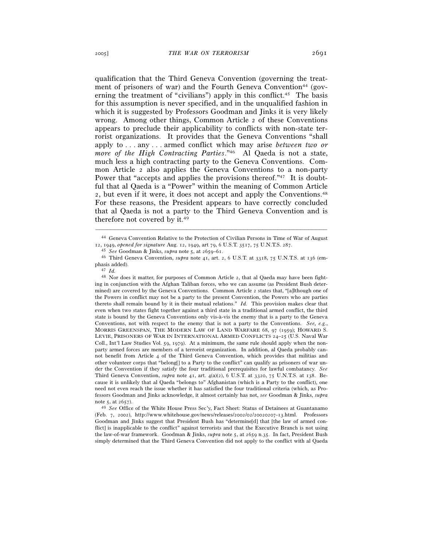qualification that the Third Geneva Convention (governing the treatment of prisoners of war) and the Fourth Geneva Convention<sup>44</sup> (governing the treatment of "civilians") apply in this conflict.<sup>45</sup> The basis for this assumption is never specified, and in the unqualified fashion in which it is suggested by Professors Goodman and Jinks it is very likely wrong. Among other things, Common Article 2 of these Conventions appears to preclude their applicability to conflicts with non-state terrorist organizations. It provides that the Geneva Conventions "shall apply to . . . any . . . armed conflict which may arise *between two or more of the High Contracting Parties*.["46](#page-9-2) Al Qaeda is not a state, much less a high contracting party to the Geneva Conventions. Common Article 2 also applies the Geneva Conventions to a non-party Power that "accepts and applies the provisions thereof."<sup>47</sup> It is doubtful that al Qaeda is a "Power" within the meaning of Common Article 2, but even if it were, it does not accept and apply the Conventions[.48](#page-9-4)  For these reasons, the President appears to have correctly concluded that al Qaeda is not a party to the Third Geneva Convention and is therefore not covered by it.[49](#page-9-5)

48 Nor does it matter, for purposes of Common Article 2, that al Qaeda may have been fighting in conjunction with the Afghan Taliban forces, who we can assume (as President Bush determined) are covered by the Geneva Conventions. Common Article 2 states that, "[a]lthough one of the Powers in conflict may not be a party to the present Convention, the Powers who are parties thereto shall remain bound by it in their mutual relations." *Id.* This provision makes clear that even when two states fight together against a third state in a traditional armed conflict, the third state is bound by the Geneva Conventions only vis-à-vis the enemy that is a party to the Geneva Conventions, not with respect to the enemy that is not a party to the Conventions. *See, e.g.*, MORRIS GREENSPAN, THE MODERN LAW OF LAND WARFARE 68, 97 (1959); HOWARD S. LEVIE, PRISONERS OF WAR IN INTERNATIONAL ARMED CONFLICTS 24–25 (U.S. Naval War Coll., Int'l Law Studies Vol. 59, 1979). At a minimum, the same rule should apply when the nonparty armed forces are members of a terrorist organization. In addition, al Qaeda probably cannot benefit from Article 4 of the Third Geneva Convention, which provides that militias and other volunteer corps that "belong[] to a Party to the conflict" can qualify as prisoners of war under the Convention if they satisfy the four traditional prerequisites for lawful combatancy. *See* Third Geneva Convention, *supra* note 41, art. 4(a)(2), 6 U.S.T. at 3320, 75 U.N.T.S. at 138. Because it is unlikely that al Qaeda "belongs to" Afghanistan (which is a Party to the conflict), one need not even reach the issue whether it has satisfied the four traditional criteria (which, as Professors Goodman and Jinks acknowledge, it almost certainly has not, *see* Goodman & Jinks, *supra*

<span id="page-9-5"></span>note 5, at 2657).<br><sup>49</sup> *See* Office of the White House Press Sec'y, Fact Sheet: Status of Detainees at Guantanamo (Feb. 7, 2002), http://www.whitehouse.gov/news/releases/2002/02/20020207-13.html. Professors Goodman and Jinks suggest that President Bush has "determine[d] that [the law of armed conflict] is inapplicable to the conflict" against terrorists and that the Executive Branch is not using the law-of-war framework. Goodman & Jinks, *supra* note 5, at 2659 n.35. In fact, President Bush simply determined that the Third Geneva Convention did not apply to the conflict with al Qaeda

<span id="page-9-0"></span><sup>–––––––––––––––––––––––––––––––––––––––––––––––––––––––––––––</sup> 44 Geneva Convention Relative to the Protection of Civilian Persons in Time of War of August 12, 1949, opened for signature Aug. 12, 1949, art 79, 6 U.S.T. 3517, 75 U.N.T.S. 287.<br><sup>45</sup> See Goodman & Jinks, *supra* note 5, at 2659–61.<br><sup>46</sup> Third Geneva Convention, *supra* note 41, art. 2, 6 U.S.T. at 3318, 75 U.N.T

<span id="page-9-2"></span><span id="page-9-1"></span>

phasis added). 47 *Id.*

<span id="page-9-4"></span><span id="page-9-3"></span>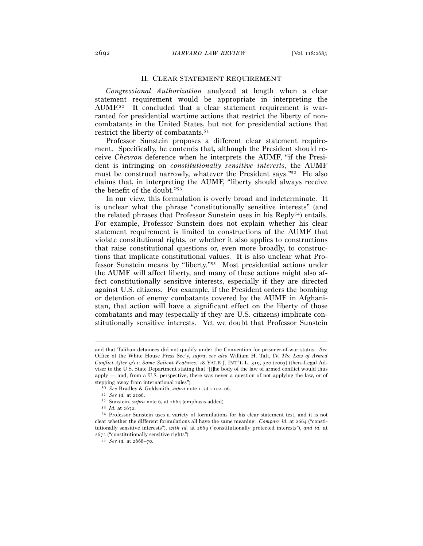## II. CLEAR STATEMENT REQUIREMENT

*Congressional Authorization* analyzed at length when a clear statement requirement would be appropriate in interpreting the AUMF[.50](#page-10-0) It concluded that a clear statement requirement is warranted for presidential wartime actions that restrict the liberty of noncombatants in the United States, but not for presidential actions that restrict the liberty of combatants.[51](#page-10-1)

Professor Sunstein proposes a different clear statement requirement. Specifically, he contends that, although the President should receive *Chevron* deference when he interprets the AUMF, "if the President is infringing on *constitutionally sensitive interests*, the AUMF must be construed narrowly, whatever the President says.["52](#page-10-2) He also claims that, in interpreting the AUMF, "liberty should always receive the benefit of the doubt."[53](#page-10-3)

In our view, this formulation is overly broad and indeterminate. It is unclear what the phrase "constitutionally sensitive interests" (and the related phrases that Professor Sunstein uses in his Repl[y54\)](#page-10-4) entails. For example, Professor Sunstein does not explain whether his clear statement requirement is limited to constructions of the AUMF that violate constitutional rights, or whether it also applies to constructions that raise constitutional questions or, even more broadly, to constructions that implicate constitutional values. It is also unclear what Professor Sunstein means by "liberty."[55](#page-10-5) Most presidential actions under the AUMF will affect liberty, and many of these actions might also affect constitutionally sensitive interests, especially if they are directed against U.S. citizens. For example, if the President orders the bombing or detention of enemy combatants covered by the AUMF in Afghanistan, that action will have a significant effect on the liberty of those combatants and may (especially if they are U.S. citizens) implicate constitutionally sensitive interests. Yet we doubt that Professor Sunstein

and that Taliban detainees did not qualify under the Convention for prisoner-of-war status. *See* Office of the White House Press Sec'y, *supra*; *see also* William H. Taft, IV, *The Law of Armed Conflict After 9/11: Some Salient Features*, 28 YALE J. INT'L L. 319, 320 (2003) (then–Legal Adviser to the U.S. State Department stating that "[t]he body of the law of armed conflict would thus apply — and, from a U.S. perspective, there was never a question of not applying the law, or of stepping away from international rules").<br>
<sup>50</sup> See Bradley & Goldsmith, *supra* note 1, at 2102–06.<br>
<sup>51</sup> See id. at 2106.<br>
<sup>52</sup> Sunstein, *supra* note 6, at 2664 (emphasis added).<br>
<sup>53</sup> Id. at 2672.<br>
<sup>54</sup> Professor Suns

<span id="page-10-0"></span>

<span id="page-10-1"></span>

<span id="page-10-2"></span>

<span id="page-10-4"></span><span id="page-10-3"></span>

clear whether the different formulations all have the same meaning. *Compare id.* at 2664 ("constitutionally sensitive interests"), *with id.* at 2669 ("constitutionally protected interests"), *and id.* at 2672 ("constitutionally sensitive rights").

<span id="page-10-5"></span><sup>55</sup> *See id.* at 2668–70.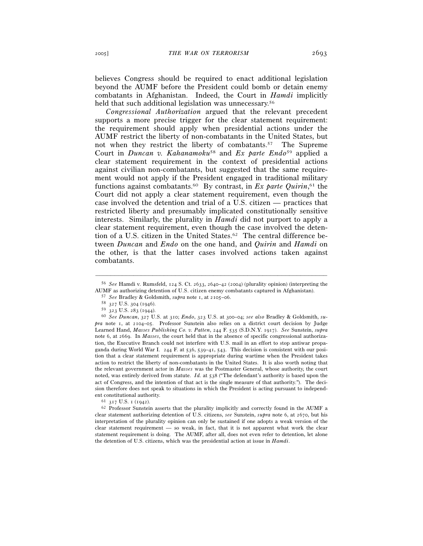believes Congress should be required to enact additional legislation beyond the AUMF before the President could bomb or detain enemy combatants in Afghanistan. Indeed, the Court in *Hamdi* implicitly held that such additional legislation was unnecessary.<sup>[56](#page-11-0)</sup>

*Congressional Authorization* argued that the relevant precedent supports a more precise trigger for the clear statement requirement: the requirement should apply when presidential actions under the AUMF restrict the liberty of non-combatants in the United States, but not when they restrict the liberty of combatants[.57](#page-11-1) The Supreme Court in *Duncan v. Kahanamoku*[58](#page-11-2) and *Ex parte Endo*[59](#page-11-3) applied a clear statement requirement in the context of presidential actions against civilian non-combatants, but suggested that the same requirement would not apply if the President engaged in traditional military functions against combatants[.60](#page-11-4) By contrast, in *Ex parte Quirin*, [61 t](#page-11-5)he Court did not apply a clear statement requirement, even though the case involved the detention and trial of a U.S. citizen — practices that restricted liberty and presumably implicated constitutionally sensitive interests. Similarly, the plurality in *Hamdi* did not purport to apply a clear statement requirement, even though the case involved the detention of a U.S. citizen in the United States.<sup>62</sup> The central difference between *Duncan* and *Endo* on the one hand, and *Quirin* and *Hamdi* on the other, is that the latter cases involved actions taken against combatants.

<span id="page-11-0"></span><sup>–––––––––––––––––––––––––––––––––––––––––––––––––––––––––––––</sup> 56 *See* Hamdi v. Rumsfeld, 124 S. Ct. 2633, 2640–42 (2004) (plurality opinion) (interpreting the AUMF as authorizing detention of U.S. citizen enemy combatants captured in Afghanistan).<br><sup>57</sup> *See* Bradley & Goldsmith, *supra* note 1, at 2105–06.<br><sup>58</sup> 327 U.S. 304 (1946).<br><sup>59</sup> 323 U.S. 283 (1944).

<span id="page-11-1"></span>

<span id="page-11-2"></span>

<span id="page-11-4"></span><span id="page-11-3"></span>

<sup>59</sup> <sup>323</sup> U.S. 283 (1944). 60 *See Duncan*, 327 U.S. at 310; *Endo*, 323 U.S. at 300–04; *see also* Bradley & Goldsmith, *supra* note 1, at 2104–05. Professor Sunstein also relies on a district court decision by Judge Learned Hand, *Masses Publishing Co. v. Patten*, 244 F. 535 (S.D.N.Y. 1917). *See* Sunstein, *supra* note 6, at 2669. In *Masses*, the court held that in the absence of specific congressional authorization, the Executive Branch could not interfere with U.S. mail in an effort to stop antiwar propaganda during World War I. 244 F. at  $536, 539-41, 543$ . This decision is consistent with our position that a clear statement requirement is appropriate during wartime when the President takes action to restrict the liberty of non-combatants in the United States. It is also worth noting that the relevant government actor in *Masses* was the Postmaster General, whose authority, the court noted, was entirely derived from statute. *Id.* at 538 ("The defendant's authority is based upon the act of Congress, and the intention of that act is the single measure of that authority."). The decision therefore does not speak to situations in which the President is acting pursuant to independent constitutional authority.<br>
<sup>61</sup> 317 U.S. 1 (1942).<br>
<sup>62</sup> Professor Sunstein asserts that the plurality implicitly and correctly found in the AUMF a

<span id="page-11-6"></span><span id="page-11-5"></span>

clear statement authorizing detention of U.S. citizens, *see* Sunstein, *supra* note 6, at 2670, but his interpretation of the plurality opinion can only be sustained if one adopts a weak version of the clear statement requirement — so weak, in fact, that it is not apparent what work the clear statement requirement is doing. The AUMF, after all, does not even refer to detention, let alone the detention of U.S. citizens, which was the presidential action at issue in *Hamdi*.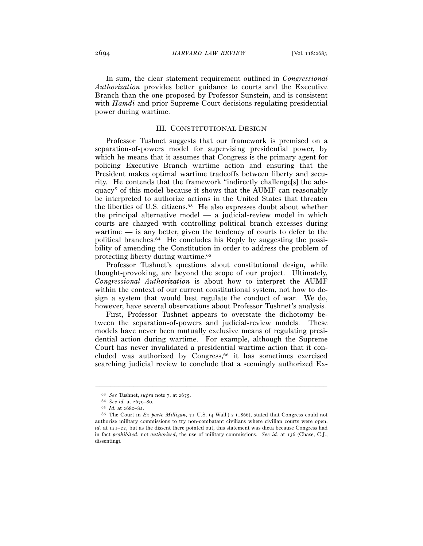In sum, the clear statement requirement outlined in *Congressional Authorization* provides better guidance to courts and the Executive Branch than the one proposed by Professor Sunstein, and is consistent with *Hamdi* and prior Supreme Court decisions regulating presidential power during wartime.

## III. CONSTITUTIONAL DESIGN

Professor Tushnet suggests that our framework is premised on a separation-of-powers model for supervising presidential power, by which he means that it assumes that Congress is the primary agent for policing Executive Branch wartime action and ensuring that the President makes optimal wartime tradeoffs between liberty and security. He contends that the framework "indirectly challenge[s] the adequacy" of this model because it shows that the AUMF can reasonably be interpreted to authorize actions in the United States that threaten the liberties of U.S. citizens.[63](#page-12-0) He also expresses doubt about whether the principal alternative model — a judicial-review model in which courts are charged with controlling political branch excesses during wartime — is any better, given the tendency of courts to defer to the political branches[.64](#page-12-1) He concludes his Reply by suggesting the possibility of amending the Constitution in order to address the problem of protecting liberty during wartime.[65](#page-12-2)

Professor Tushnet's questions about constitutional design, while thought-provoking, are beyond the scope of our project. Ultimately, *Congressional Authorization* is about how to interpret the AUMF within the context of our current constitutional system, not how to design a system that would best regulate the conduct of war. We do, however, have several observations about Professor Tushnet's analysis.

First, Professor Tushnet appears to overstate the dichotomy between the separation-of-powers and judicial-review models. These models have never been mutually exclusive means of regulating presidential action during wartime. For example, although the Supreme Court has never invalidated a presidential wartime action that it concluded was authorized by Congress,<sup>66</sup> it has sometimes exercised searching judicial review to conclude that a seemingly authorized Ex-

<span id="page-12-0"></span>

<span id="page-12-1"></span>

<span id="page-12-3"></span><span id="page-12-2"></span>

<sup>63</sup> *See* Tushnet, *supra* note 7, at 2675. 64 *See id.* at 2679–80. 65 *Id.* at 2680–82. 66 The Court in *Ex parte Milligan*, 71 U.S. (4 Wall.) 2 (1866), stated that Congress could not authorize military commissions to try non-combatant civilians where civilian courts were open, *id.* at  $121-22$ , but as the dissent there pointed out, this statement was dicta because Congress had in fact *prohibited*, not *authorized*, the use of military commissions. *See id.* at 136 (Chase, C.J., dissenting).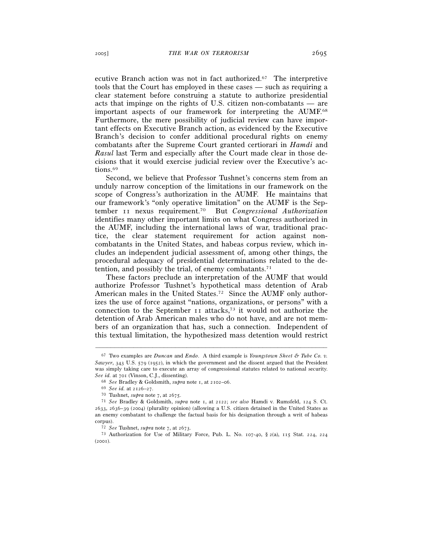ecutive Branch action was not in fact authorized[.67](#page-13-0) The interpretive tools that the Court has employed in these cases — such as requiring a clear statement before construing a statute to authorize presidential acts that impinge on the rights of U.S. citizen non-combatants — are important aspects of our framework for interpreting the AUM[F.68](#page-13-1)  Furthermore, the mere possibility of judicial review can have important effects on Executive Branch action, as evidenced by the Executive Branch's decision to confer additional procedural rights on enemy combatants after the Supreme Court granted certiorari in *Hamdi* and *Rasul* last Term and especially after the Court made clear in those decisions that it would exercise judicial review over the Executive's ac-tions.<sup>[69](#page-13-2)</sup>

Second, we believe that Professor Tushnet's concerns stem from an unduly narrow conception of the limitations in our framework on the scope of Congress's authorization in the AUMF. He maintains that our framework's "only operative limitation" on the AUMF is the September 11 nexus requirement.[70](#page-13-3) But *Congressional Authorization* identifies many other important limits on what Congress authorized in the AUMF, including the international laws of war, traditional practice, the clear statement requirement for action against noncombatants in the United States, and habeas corpus review, which includes an independent judicial assessment of, among other things, the procedural adequacy of presidential determinations related to the de-tention, and possibly the trial, of enemy combatants.<sup>[71](#page-13-4)</sup>

These factors preclude an interpretation of the AUMF that would authorize Professor Tushnet's hypothetical mass detention of Arab American males in the United States.<sup>72</sup> Since the AUMF only authorizes the use of force against "nations, organizations, or persons" with a connection to the September 11 attacks,[73](#page-13-6) it would not authorize the detention of Arab American males who do not have, and are not members of an organization that has, such a connection. Independent of this textual limitation, the hypothesized mass detention would restrict

<span id="page-13-0"></span><sup>67</sup> Two examples are *Duncan* and *Endo*. A third example is *Youngstown Sheet & Tube Co. v. Sawyer*, 343 U.S. 579 (1952), in which the government and the dissent argued that the President was simply taking care to execute an array of congressional statutes related to national security. See id. at 701 (Vinson, C.J., dissenting).<br>
68 See Bradley & Goldsmith, *supra* note 1, at 2102–06.<br>
69 See id. at 2126–27.<br>
70 Tushnet, *supra* note 7, at 2675.<br>
71 See Bradley & Goldsmith, *supra* note 1, at 2122; *see* 

<span id="page-13-1"></span>

<span id="page-13-2"></span>

<span id="page-13-4"></span><span id="page-13-3"></span>

<sup>2633</sup>, 2636–39 (2004) (plurality opinion) (allowing a U.S. citizen detained in the United States as an enemy combatant to challenge the factual basis for his designation through a writ of habeas

<span id="page-13-6"></span><span id="page-13-5"></span>

corpus). 72 *See* Tushnet, *supra* note 7, at 2673. 73 Authorization for Use of Military Force, Pub. L. No. 107-40, § 2(a), 115 Stat. 224, <sup>224</sup>  $(2001)$ .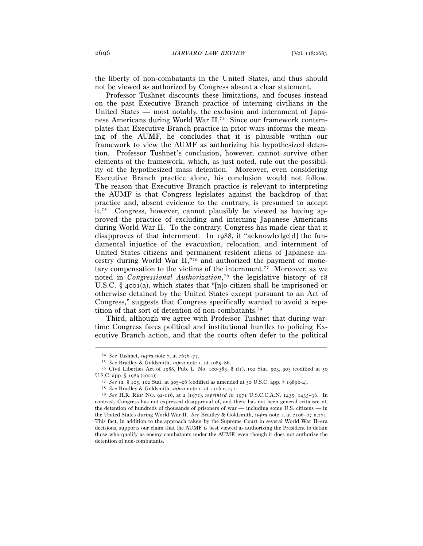the liberty of non-combatants in the United States, and thus should not be viewed as authorized by Congress absent a clear statement.

Professor Tushnet discounts these limitations, and focuses instead on the past Executive Branch practice of interning civilians in the United States — most notably, the exclusion and internment of Japanese Americans during World War II[.74](#page-14-0) Since our framework contemplates that Executive Branch practice in prior wars informs the meaning of the AUMF, he concludes that it is plausible within our framework to view the AUMF as authorizing his hypothesized detention. Professor Tushnet's conclusion, however, cannot survive other elements of the framework, which, as just noted, rule out the possibility of the hypothesized mass detention. Moreover, even considering Executive Branch practice alone, his conclusion would not follow. The reason that Executive Branch practice is relevant to interpreting the AUMF is that Congress legislates against the backdrop of that practice and, absent evidence to the contrary, is presumed to accept it.[75](#page-14-1) Congress, however, cannot plausibly be viewed as having approved the practice of excluding and interning Japanese Americans during World War II. To the contrary, Congress has made clear that it disapproves of that internment. In 1988, it "acknowledge[d] the fundamental injustice of the evacuation, relocation, and internment of United States citizens and permanent resident aliens of Japanese ancestry during World War II,["76](#page-14-2) and authorized the payment of monetary compensation to the victims of the internment.[77](#page-14-3) Moreover, as we noted in *Congressional Authorization*,[78](#page-14-4) the legislative history of 18 U.S.C. § 4001(a), which states that "[n]o citizen shall be imprisoned or otherwise detained by the United States except pursuant to an Act of Congress," suggests that Congress specifically wanted to avoid a repetition of that sort of detention of non-combatants.[79](#page-14-5)

Third, although we agree with Professor Tushnet that during wartime Congress faces political and institutional hurdles to policing Executive Branch action, and that the courts often defer to the political

<span id="page-14-0"></span>

<span id="page-14-2"></span><span id="page-14-1"></span>

<sup>74</sup> *See* Tushnet, *supra* note 7, at 2676–77. 75 *See* Bradley & Goldsmith, *supra* note 1, at 2085–86. 76 Civil Liberties Act of 1988, Pub. L. No. 100-383, § 1(1), 102 Stat. 903, 903 (codified at <sup>50</sup> U.S.C. app. § 1989 (2000)).<br>
<sup>77</sup> See id. § 105, 102 Stat. at 905–08 (codified as amended at 50 U.S.C. app. § 1989b-4).<br>
<sup>78</sup> See Bradley & Goldsmith, *supra* note 1, at 2106 n.271.<br>
<sup>79</sup> See H.R. REP. NO. 92-116, at 2 (1

<span id="page-14-3"></span>

<span id="page-14-5"></span><span id="page-14-4"></span>

contrast, Congress has not expressed disapproval of, and there has not been general criticism of, the detention of hundreds of thousands of prisoners of war — including some U.S. citizens — in the United States during World War II. *See* Bradley & Goldsmith, *supra* note 1, at 2106–07 n.271. This fact, in addition to the approach taken by the Supreme Court in several World War II–era decisions, supports our claim that the AUMF is best viewed as authorizing the President to detain those who qualify as enemy combatants under the AUMF, even though it does not authorize the detention of non-combatants.